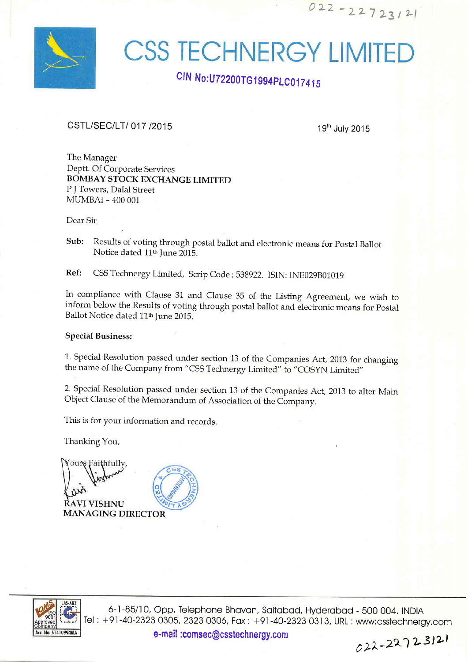

## **CSS TECHNERGY LIMITED**

## CIN No: U72200TG1994PLC017415

## CSTL/SEC/LT/ 017 /2015

19th July 2015

 $022 - 22723121$ 

The Manager Deptt, Of Corporate Services BOMBAY STOCK EXCHANGE LIMITED <sup>P</sup>J Towers, Dalal Street MUMBAI - 4OO OO1

Dear Sir

Sub: Results of voting through postal ballot and electronic means for Postal Ballot Notice dated 11<sup>th</sup> June 2015.

Ref: CSS Technergy Limited, Scrip Code : 538922. ISIN: INE029B01019

In compliance with Clause 31 and Clause 35 of the Listing Agreement, we wish to inform below the Results of voting through postal ballot and electronic means for postal Ballot Notice dated 11<sup>th</sup> June 2015.

## Special Business:

1. Special Resolution passed under section 13 of the Companies Act, 2013 for changing the name of the Company from "CSS Technergy Limited" to "COSYN Limited"

2. Special Resolution passed under section 13 of the Companies Act,2013 to alter Main object Clause of the Memorandum of Association of the Company.

This is for your information and records

Thanking You,

outs Faithfully, **RAVI VISHNU** MANAGING DIRECTOR



6-1-85/10, Opp. Telephone Bhavan, Saifabad, Hyderabad - 500 004. INDIA Tel : +91-40-2323 0305, 2323 0306, Fax : +91-40-2323 0313, URL : www:csstechnergy.com

e-mail :comsec@csstechnergy.com